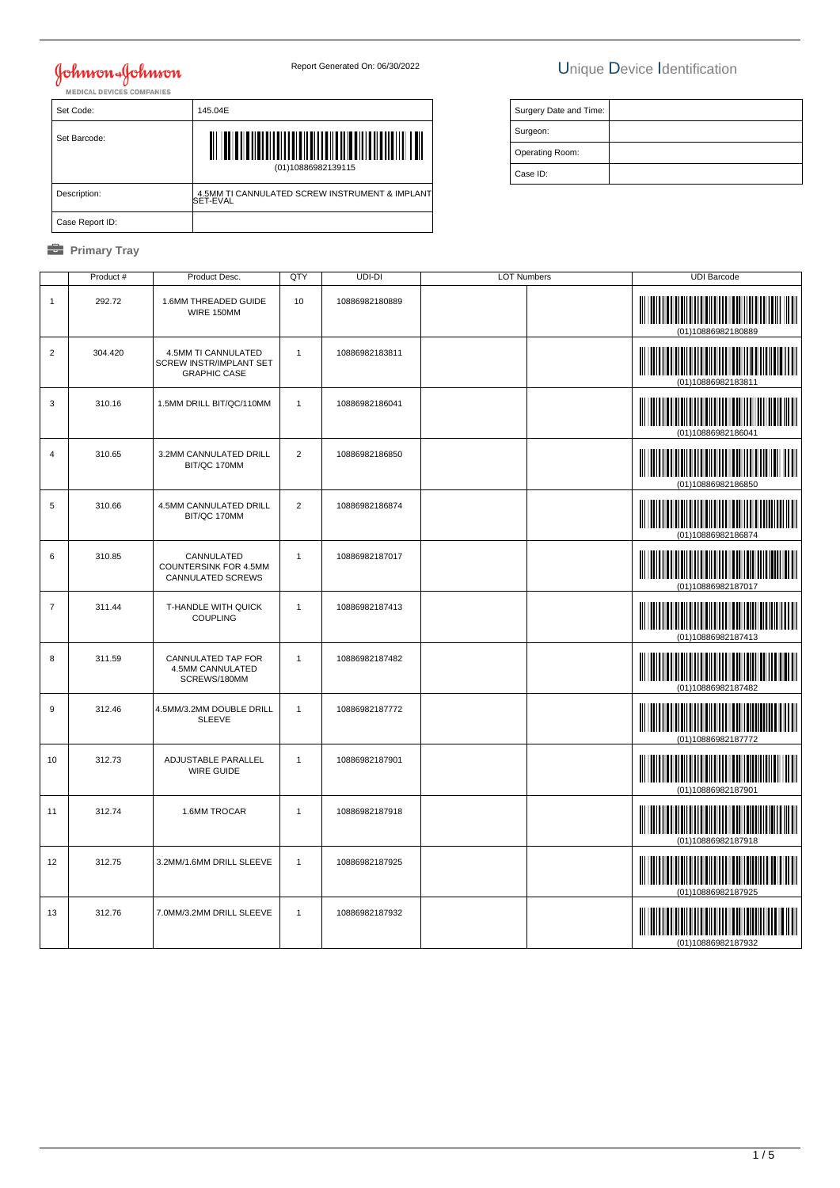## Johnson Johnson<br>MEDICAL DEVICES COMPANIES

## Report Generated On: 06/30/2022 Unique Device Identification

| Set Code:       | 145.04E                                                    |
|-----------------|------------------------------------------------------------|
| Set Barcode:    | (01)10886982139115                                         |
| Description:    | 4.5MM TI CANNULATED SCREW INSTRUMENT & IMPLANT<br>SET-EVAL |
| Case Report ID: |                                                            |

| Surgery Date and Time: |  |
|------------------------|--|
| Surgeon:               |  |
| Operating Room:        |  |
| Case ID:               |  |

|                | Product # | Product Desc.                                                         | QTY            | UDI-DI         | <b>LOT Numbers</b> | <b>UDI Barcode</b>                                                                                                                         |
|----------------|-----------|-----------------------------------------------------------------------|----------------|----------------|--------------------|--------------------------------------------------------------------------------------------------------------------------------------------|
| 1              | 292.72    | 1.6MM THREADED GUIDE<br>WIRE 150MM                                    | 10             | 10886982180889 |                    | (01)10886982180889                                                                                                                         |
| $\overline{2}$ | 304.420   | 4.5MM TI CANNULATED<br>SCREW INSTR/IMPLANT SET<br><b>GRAPHIC CASE</b> | $\mathbf{1}$   | 10886982183811 |                    | (01)10886982183811                                                                                                                         |
| 3              | 310.16    | 1.5MM DRILL BIT/QC/110MM                                              | $\mathbf{1}$   | 10886982186041 |                    | (01)10886982186041                                                                                                                         |
| $\overline{4}$ | 310.65    | 3.2MM CANNULATED DRILL<br>BIT/QC 170MM                                | $\overline{2}$ | 10886982186850 |                    | (01)10886982186850                                                                                                                         |
| 5              | 310.66    | 4.5MM CANNULATED DRILL<br>BIT/QC 170MM                                | $\overline{2}$ | 10886982186874 |                    | (01)10886982186874                                                                                                                         |
| 6              | 310.85    | CANNULATED<br>COUNTERSINK FOR 4.5MM<br>CANNULATED SCREWS              | $\mathbf{1}$   | 10886982187017 |                    | (01)10886982187017                                                                                                                         |
| $\overline{7}$ | 311.44    | T-HANDLE WITH QUICK<br><b>COUPLING</b>                                | $\mathbf{1}$   | 10886982187413 |                    | (01)10886982187413                                                                                                                         |
| 8              | 311.59    | CANNULATED TAP FOR<br>4.5MM CANNULATED<br>SCREWS/180MM                | $\mathbf{1}$   | 10886982187482 |                    | (01)10886982187482                                                                                                                         |
| 9              | 312.46    | 4.5MM/3.2MM DOUBLE DRILL<br><b>SLEEVE</b>                             | $\mathbf{1}$   | 10886982187772 |                    | (01)10886982187772                                                                                                                         |
| 10             | 312.73    | ADJUSTABLE PARALLEL<br><b>WIRE GUIDE</b>                              | $\mathbf{1}$   | 10886982187901 |                    | <u> III martin bilin bilin bilin bilin bilin bilin bilin bilin bilin bilin bilin bilin bilin bilin bilin bilin b</u><br>(01)10886982187901 |
| 11             | 312.74    | 1.6MM TROCAR                                                          | $\mathbf{1}$   | 10886982187918 |                    | <u> Hillingan ka</u><br>(01)10886982187918                                                                                                 |
| 12             | 312.75    | 3.2MM/1.6MM DRILL SLEEVE                                              | $\mathbf{1}$   | 10886982187925 |                    | (01)10886982187925                                                                                                                         |
| 13             | 312.76    | 7.0MM/3.2MM DRILL SLEEVE                                              | $\mathbf{1}$   | 10886982187932 |                    | (01)10886982187932                                                                                                                         |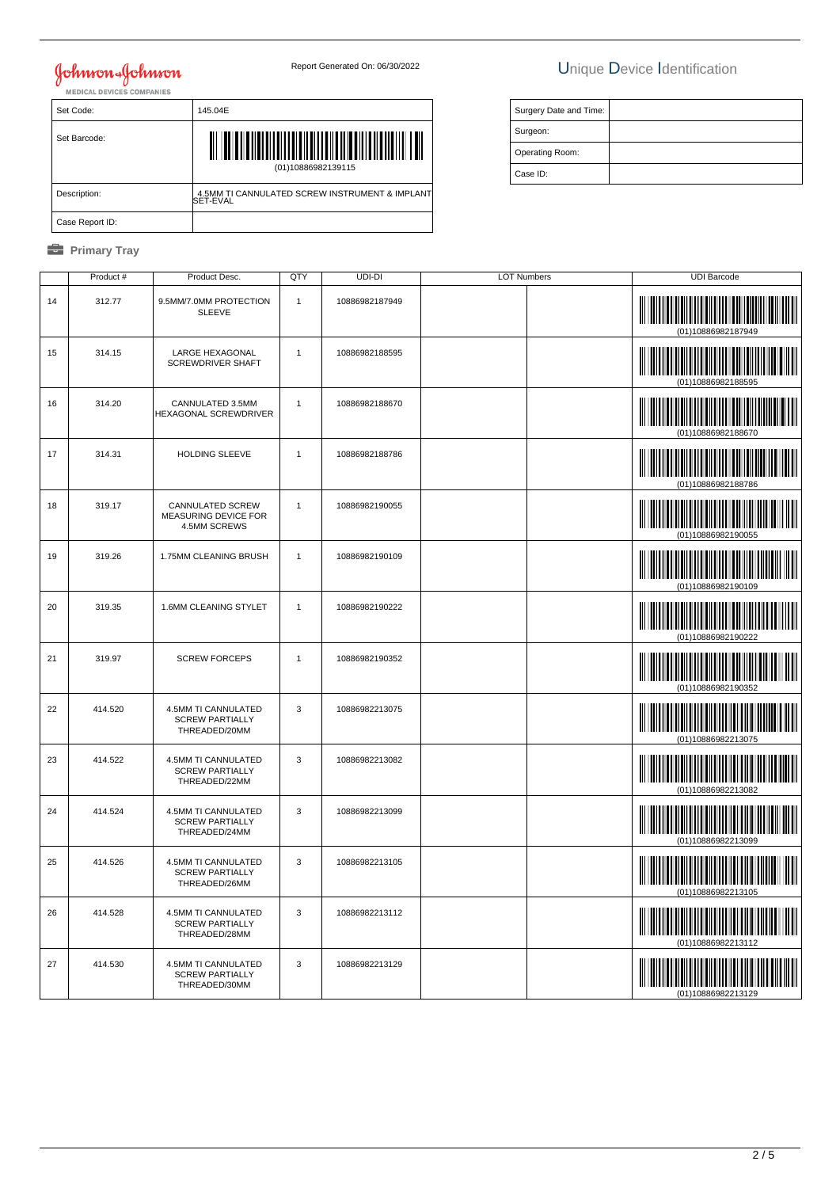## Johnson-Johnson

## Report Generated On: 06/30/2022 Unique Device Identification

| Set Code:       | 145.04E                                                    |
|-----------------|------------------------------------------------------------|
| Set Barcode:    | (01)10886982139115                                         |
| Description:    | 4.5MM TI CANNULATED SCREW INSTRUMENT & IMPLANT<br>SET-EVAL |
| Case Report ID: |                                                            |

| Surgery Date and Time: |  |
|------------------------|--|
| Surgeon:               |  |
| Operating Room:        |  |
| Case ID:               |  |

|    | Product # | Product Desc.                                                  | QTY          | UDI-DI         | <b>LOT Numbers</b> | <b>UDI Barcode</b>                                     |
|----|-----------|----------------------------------------------------------------|--------------|----------------|--------------------|--------------------------------------------------------|
| 14 | 312.77    | 9.5MM/7.0MM PROTECTION<br><b>SLEEVE</b>                        | $\mathbf{1}$ | 10886982187949 |                    | (01)10886982187949                                     |
| 15 | 314.15    | LARGE HEXAGONAL<br>SCREWDRIVER SHAFT                           | $\mathbf{1}$ | 10886982188595 |                    |                                                        |
| 16 | 314.20    | CANNULATED 3.5MM<br>HEXAGONAL SCREWDRIVER                      | $\mathbf{1}$ | 10886982188670 |                    |                                                        |
| 17 | 314.31    | HOLDING SLEEVE                                                 | $\mathbf{1}$ | 10886982188786 |                    | IIIIIIII<br>(01)10886982188786                         |
| 18 | 319.17    | CANNULATED SCREW<br>MEASURING DEVICE FOR<br>4.5MM SCREWS       | $\mathbf{1}$ | 10886982190055 |                    | (01)10886982190055                                     |
| 19 | 319.26    | 1.75MM CLEANING BRUSH                                          | $\mathbf{1}$ | 10886982190109 |                    | (01)10886982190109                                     |
| 20 | 319.35    | 1.6MM CLEANING STYLET                                          | $\mathbf{1}$ | 10886982190222 |                    | <u> III martin ma'lumot</u>                            |
| 21 | 319.97    | <b>SCREW FORCEPS</b>                                           | $\mathbf{1}$ | 10886982190352 |                    |                                                        |
| 22 | 414.520   | 4.5MM TI CANNULATED<br><b>SCREW PARTIALLY</b><br>THREADED/20MM | $\mathbf{3}$ | 10886982213075 |                    | Ш<br>(01)10886982213075                                |
| 23 | 414.522   | 4.5MM TI CANNULATED<br><b>SCREW PARTIALLY</b><br>THREADED/22MM | $\mathbf 3$  | 10886982213082 |                    |                                                        |
| 24 | 414.524   | 4.5MM TI CANNULATED<br><b>SCREW PARTIALLY</b><br>THREADED/24MM | 3            | 10886982213099 |                    | (01)10886982213099                                     |
| 25 | 414.526   | 4.5MM TI CANNULATED<br><b>SCREW PARTIALLY</b><br>THREADED/26MM | 3            | 10886982213105 |                    |                                                        |
| 26 | 414.528   | 4.5MM TI CANNULATED<br><b>SCREW PARTIALLY</b><br>THREADED/28MM | 3            | 10886982213112 |                    | <u>                         </u><br>(01)10886982213112 |
| 27 | 414.530   | 4.5MM TI CANNULATED<br><b>SCREW PARTIALLY</b><br>THREADED/30MM | 3            | 10886982213129 |                    | (01)10886982213129                                     |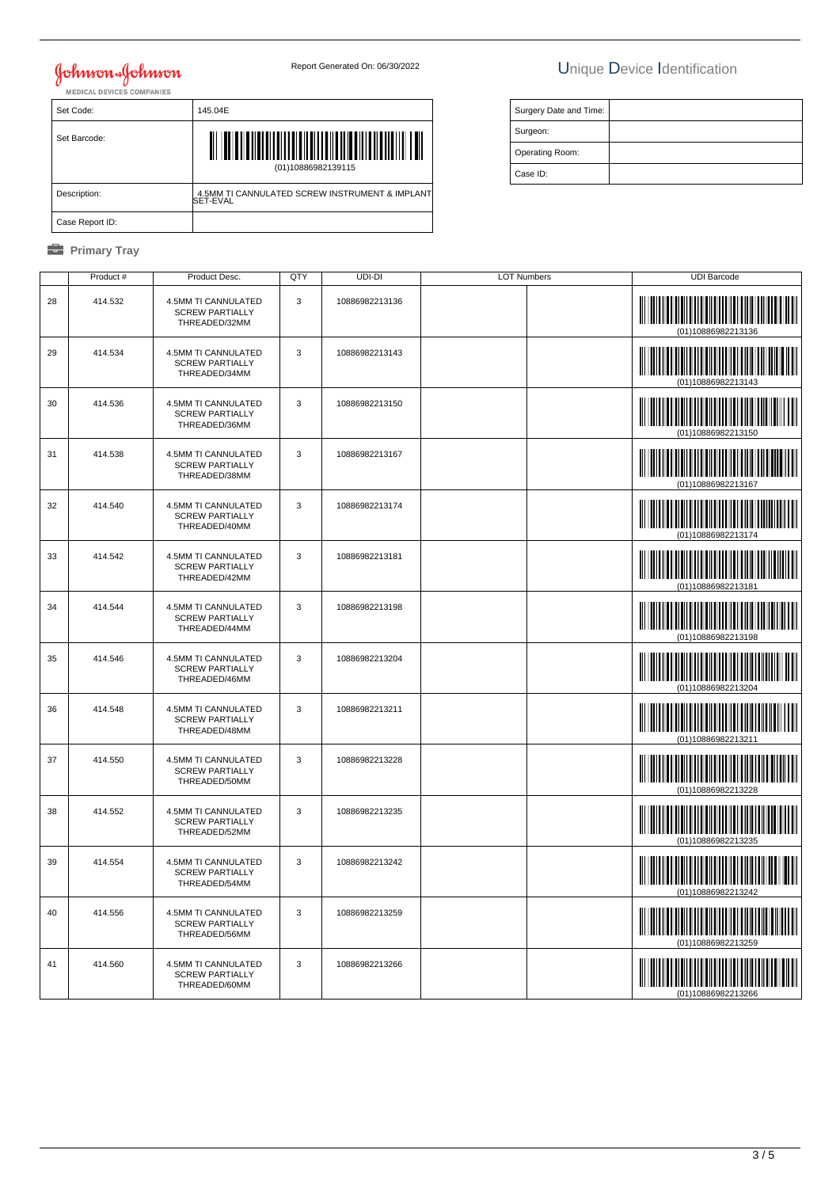# **Johnson & Johnson**<br>MEDICAL DEVICES COMPANIES

## Report Generated On: 06/30/2022 Unique Device Identification

Surgery Date and Time:

 Surgeon: Operating Room: Case ID:

| Set Code:       | 145.04E                                                               |
|-----------------|-----------------------------------------------------------------------|
| Set Barcode:    | <u>AII OI OI OI I OI OI OI OI OI OI OI OI I</u><br>(01)10886982139115 |
| Description:    | 4.5MM TI CANNULATED SCREW INSTRUMENT & IMPLANT<br>SET-EVAL            |
| Case Report ID: |                                                                       |

|    | Product # | Product Desc.                                                  | QTY | UDI-DI         | <b>LOT Numbers</b> | <b>UDI Barcode</b>                                                                                                   |
|----|-----------|----------------------------------------------------------------|-----|----------------|--------------------|----------------------------------------------------------------------------------------------------------------------|
| 28 | 414.532   | 4.5MM TI CANNULATED<br><b>SCREW PARTIALLY</b><br>THREADED/32MM | 3   | 10886982213136 |                    | (01)10886982213136                                                                                                   |
| 29 | 414.534   | 4.5MM TI CANNULATED<br><b>SCREW PARTIALLY</b><br>THREADED/34MM | 3   | 10886982213143 |                    |                                                                                                                      |
| 30 | 414.536   | 4.5MM TI CANNULATED<br><b>SCREW PARTIALLY</b><br>THREADED/36MM | 3   | 10886982213150 |                    | (01)10886982213150                                                                                                   |
| 31 | 414.538   | 4.5MM TI CANNULATED<br><b>SCREW PARTIALLY</b><br>THREADED/38MM | 3   | 10886982213167 |                    | <b>The Community of the Community</b>                                                                                |
| 32 | 414.540   | 4.5MM TI CANNULATED<br><b>SCREW PARTIALLY</b><br>THREADED/40MM | 3   | 10886982213174 |                    |                                                                                                                      |
| 33 | 414.542   | 4.5MM TI CANNULATED<br><b>SCREW PARTIALLY</b><br>THREADED/42MM | 3   | 10886982213181 |                    | (01)10886982213181                                                                                                   |
| 34 | 414.544   | 4.5MM TI CANNULATED<br><b>SCREW PARTIALLY</b><br>THREADED/44MM | 3   | 10886982213198 |                    |                                                                                                                      |
| 35 | 414.546   | 4.5MM TI CANNULATED<br><b>SCREW PARTIALLY</b><br>THREADED/46MM | 3   | 10886982213204 |                    |                                                                                                                      |
| 36 | 414.548   | 4.5MM TI CANNULATED<br><b>SCREW PARTIALLY</b><br>THREADED/48MM | 3   | 10886982213211 |                    | <u> III maarta maanda ka mid maalaa ka mid maalaa ka mid maalaa ka mid maalaa ka mid maalaa ka mid maalaa ka mid</u> |
| 37 | 414.550   | 4.5MM TI CANNULATED<br><b>SCREW PARTIALLY</b><br>THREADED/50MM | 3   | 10886982213228 |                    | (01)10886982213228                                                                                                   |
| 38 | 414.552   | 4.5MM TI CANNULATED<br><b>SCREW PARTIALLY</b><br>THREADED/52MM | 3   | 10886982213235 |                    | (01)10886982213235                                                                                                   |
| 39 | 414.554   | 4.5MM TI CANNULATED<br><b>SCREW PARTIALLY</b><br>THREADED/54MM | 3   | 10886982213242 |                    | (01)10886982213242                                                                                                   |
| 40 | 414.556   | 4.5MM TI CANNULATED<br><b>SCREW PARTIALLY</b><br>THREADED/56MM | 3   | 10886982213259 |                    |                                                                                                                      |
| 41 | 414.560   | 4.5MM TI CANNULATED<br><b>SCREW PARTIALLY</b><br>THREADED/60MM | 3   | 10886982213266 |                    |                                                                                                                      |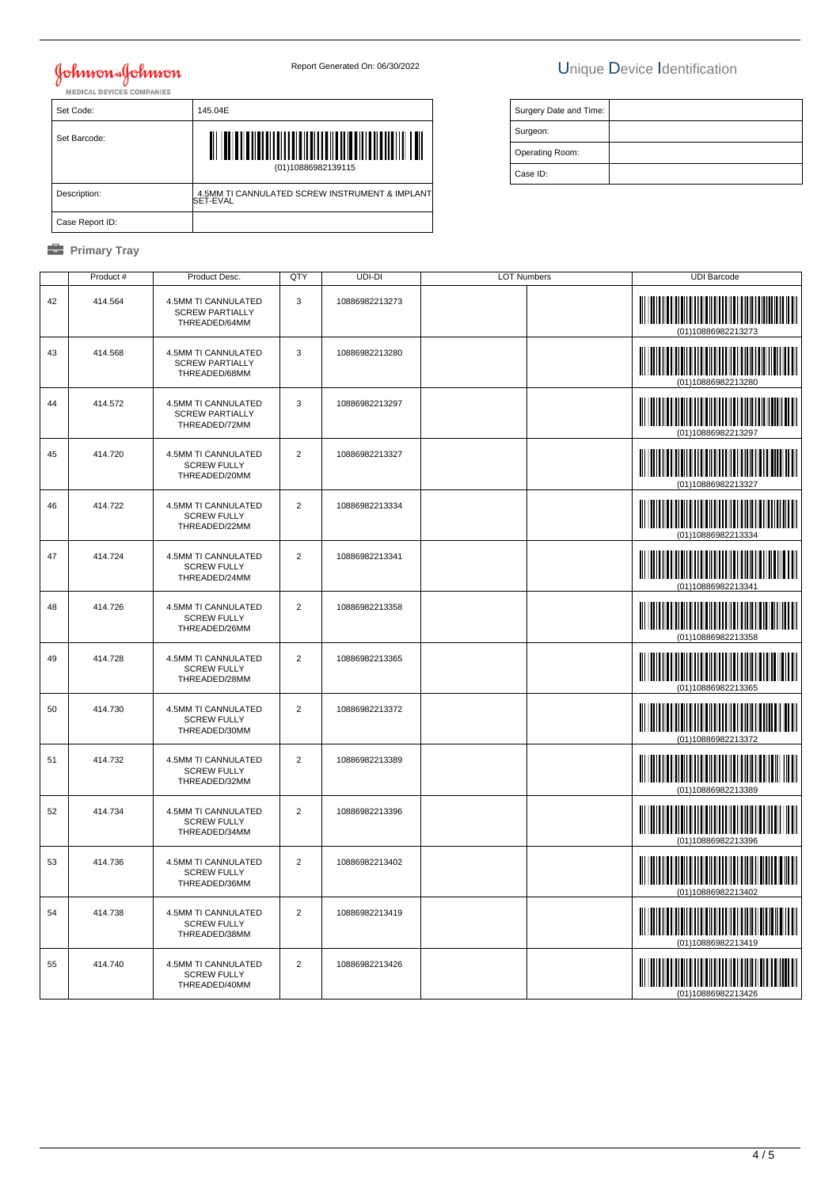## Johnson Johnson

## Report Generated On: 06/30/2022 Unique Device Identification

Surgery Date and Time:

 Surgeon: Operating Room: Case ID:

| Set Code:       | 145.04E                                                    |
|-----------------|------------------------------------------------------------|
| Set Barcode:    | (01)10886982139115                                         |
| Description:    | 4.5MM TI CANNULATED SCREW INSTRUMENT & IMPLANT<br>SET-EVAL |
| Case Report ID: |                                                            |

|    | Product # | Product Desc.                                                  | QTY            | UDI-DI         | <b>LOT Numbers</b> | <b>UDI Barcode</b>                              |
|----|-----------|----------------------------------------------------------------|----------------|----------------|--------------------|-------------------------------------------------|
| 42 | 414.564   | 4.5MM TI CANNULATED<br><b>SCREW PARTIALLY</b><br>THREADED/64MM | 3              | 10886982213273 |                    | <u> III Milliam III M</u><br>(01)10886982213273 |
| 43 | 414.568   | 4.5MM TI CANNULATED<br><b>SCREW PARTIALLY</b><br>THREADED/68MM | 3              | 10886982213280 |                    | (01)10886982213280                              |
| 44 | 414.572   | 4.5MM TI CANNULATED<br><b>SCREW PARTIALLY</b><br>THREADED/72MM | 3              | 10886982213297 |                    | (01)10886982213297                              |
| 45 | 414.720   | 4.5MM TI CANNULATED<br><b>SCREW FULLY</b><br>THREADED/20MM     | $\overline{2}$ | 10886982213327 |                    | (01)10886982213327                              |
| 46 | 414.722   | 4.5MM TI CANNULATED<br><b>SCREW FULLY</b><br>THREADED/22MM     | $\overline{2}$ | 10886982213334 |                    | (01)10886982213334                              |
| 47 | 414.724   | 4.5MM TI CANNULATED<br><b>SCREW FULLY</b><br>THREADED/24MM     | $\overline{2}$ | 10886982213341 |                    | (01)10886982213341                              |
| 48 | 414.726   | 4.5MM TI CANNULATED<br><b>SCREW FULLY</b><br>THREADED/26MM     | $\overline{2}$ | 10886982213358 |                    | (01)10886982213358                              |
| 49 | 414.728   | 4.5MM TI CANNULATED<br><b>SCREW FULLY</b><br>THREADED/28MM     | $\overline{2}$ | 10886982213365 |                    |                                                 |
| 50 | 414.730   | 4.5MM TI CANNULATED<br><b>SCREW FULLY</b><br>THREADED/30MM     | $\overline{2}$ | 10886982213372 |                    | (01)10886982213372                              |
| 51 | 414.732   | 4.5MM TI CANNULATED<br><b>SCREW FULLY</b><br>THREADED/32MM     | $\overline{2}$ | 10886982213389 |                    | (01)10886982213389                              |
| 52 | 414.734   | 4.5MM TI CANNULATED<br><b>SCREW FULLY</b><br>THREADED/34MM     | $\overline{2}$ | 10886982213396 |                    | (01)10886982213396                              |
| 53 | 414.736   | 4.5MM TI CANNULATED<br><b>SCREW FULLY</b><br>THREADED/36MM     | $\overline{2}$ | 10886982213402 |                    | IIIIIIIIIIIIIIII<br>(01)10886982213402          |
| 54 | 414.738   | 4.5MM TI CANNULATED<br><b>SCREW FULLY</b><br>THREADED/38MM     | $\overline{2}$ | 10886982213419 |                    |                                                 |
| 55 | 414.740   | 4.5MM TI CANNULATED<br><b>SCREW FULLY</b><br>THREADED/40MM     | $\overline{2}$ | 10886982213426 |                    |                                                 |